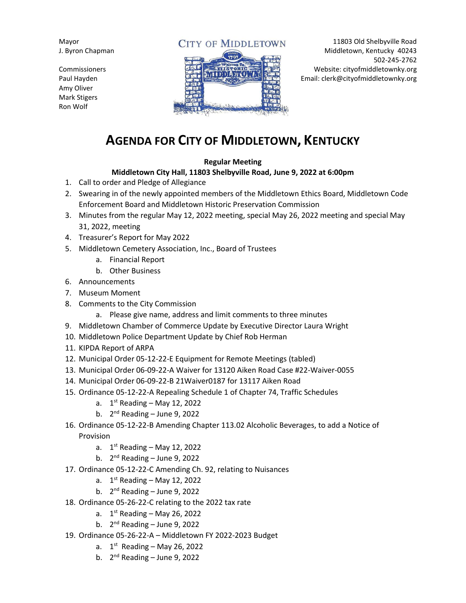Mayor J. Byron Chapman

**Commissioners** Paul Hayden Amy Oliver Mark Stigers Ron Wolf

## **CITY OF MIDDLETOWN**



11803 Old Shelbyville Road Middletown, Kentucky 40243 502-245-2762 Website: cityofmiddletownky.org Email: clerk@cityofmiddletownky.org

## **AGENDA FOR CITY OF MIDDLETOWN, KENTUCKY**

## **Regular Meeting**

## **Middletown City Hall, 11803 Shelbyville Road, June 9, 2022 at 6:00pm**

- 1. Call to order and Pledge of Allegiance
- 2. Swearing in of the newly appointed members of the Middletown Ethics Board, Middletown Code Enforcement Board and Middletown Historic Preservation Commission
- 3. Minutes from the regular May 12, 2022 meeting, special May 26, 2022 meeting and special May 31, 2022, meeting
- 4. Treasurer's Report for May 2022
- 5. Middletown Cemetery Association, Inc., Board of Trustees
	- a. Financial Report
	- b. Other Business
- 6. Announcements
- 7. Museum Moment
- 8. Comments to the City Commission
	- a. Please give name, address and limit comments to three minutes
- 9. Middletown Chamber of Commerce Update by Executive Director Laura Wright
- 10. Middletown Police Department Update by Chief Rob Herman
- 11. KIPDA Report of ARPA
- 12. Municipal Order 05-12-22-E Equipment for Remote Meetings (tabled)
- 13. Municipal Order 06-09-22-A Waiver for 13120 Aiken Road Case #22-Waiver-0055
- 14. Municipal Order 06-09-22-B 21Waiver0187 for 13117 Aiken Road
- 15. Ordinance 05-12-22-A Repealing Schedule 1 of Chapter 74, Traffic Schedules
	- a. 1<sup>st</sup> Reading May 12, 2022
	- b. 2<sup>nd</sup> Reading June 9, 2022
- 16. Ordinance 05-12-22-B Amending Chapter 113.02 Alcoholic Beverages, to add a Notice of Provision
	- a. 1<sup>st</sup> Reading May 12, 2022
	- b. 2<sup>nd</sup> Reading June 9, 2022
- 17. Ordinance 05-12-22-C Amending Ch. 92, relating to Nuisances
	- a. 1<sup>st</sup> Reading May 12, 2022
	- b. 2<sup>nd</sup> Reading June 9, 2022
- 18. Ordinance 05-26-22-C relating to the 2022 tax rate
	- a. 1<sup>st</sup> Reading May 26, 2022
	- b. 2<sup>nd</sup> Reading June 9, 2022
- 19. Ordinance 05-26-22-A Middletown FY 2022-2023 Budget
	- a. 1<sup>st</sup> Reading May 26, 2022
	- b. 2<sup>nd</sup> Reading June 9, 2022